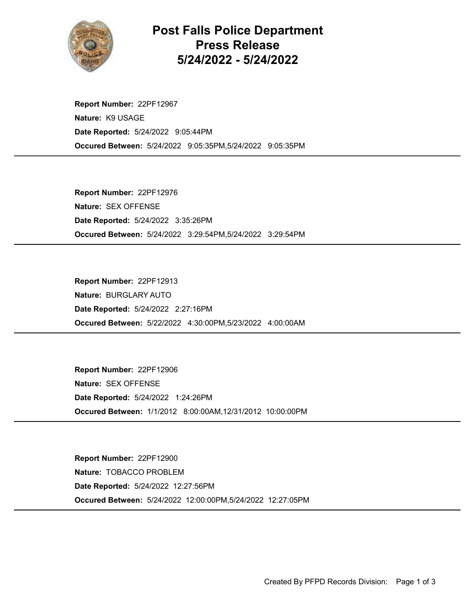

Post Falls Police Department Press Release 5/24/2022 - 5/24/2022

Occured Between: 5/24/2022 9:05:35PM,5/24/2022 9:05:35PM Report Number: 22PF12967 Nature: K9 USAGE Date Reported: 5/24/2022 9:05:44PM

Occured Between: 5/24/2022 3:29:54PM,5/24/2022 3:29:54PM Report Number: 22PF12976 Nature: SEX OFFENSE Date Reported: 5/24/2022 3:35:26PM

Occured Between: 5/22/2022 4:30:00PM,5/23/2022 4:00:00AM Report Number: 22PF12913 Nature: BURGLARY AUTO Date Reported: 5/24/2022 2:27:16PM

Occured Between: 1/1/2012 8:00:00AM,12/31/2012 10:00:00PM Report Number: 22PF12906 Nature: SEX OFFENSE Date Reported: 5/24/2022 1:24:26PM

Occured Between: 5/24/2022 12:00:00PM,5/24/2022 12:27:05PM Report Number: 22PF12900 Nature: TOBACCO PROBLEM Date Reported: 5/24/2022 12:27:56PM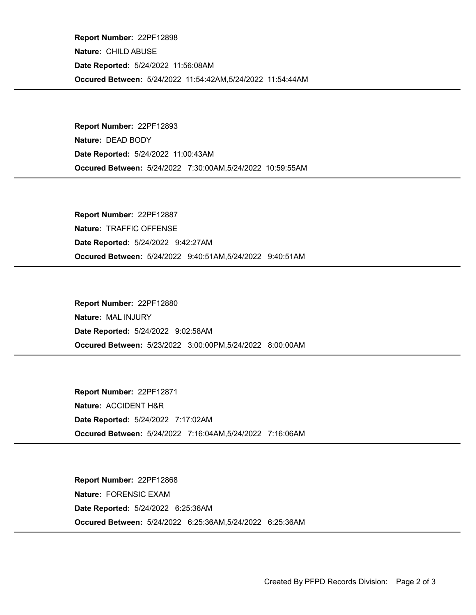Occured Between: 5/24/2022 11:54:42AM,5/24/2022 11:54:44AM Report Number: 22PF12898 Nature: CHILD ABUSE Date Reported: 5/24/2022 11:56:08AM

Occured Between: 5/24/2022 7:30:00AM,5/24/2022 10:59:55AM Report Number: 22PF12893 Nature: DEAD BODY Date Reported: 5/24/2022 11:00:43AM

Occured Between: 5/24/2022 9:40:51AM,5/24/2022 9:40:51AM Report Number: 22PF12887 Nature: TRAFFIC OFFENSE Date Reported: 5/24/2022 9:42:27AM

Occured Between: 5/23/2022 3:00:00PM,5/24/2022 8:00:00AM Report Number: 22PF12880 Nature: MAL INJURY Date Reported: 5/24/2022 9:02:58AM

Occured Between: 5/24/2022 7:16:04AM,5/24/2022 7:16:06AM Report Number: 22PF12871 Nature: ACCIDENT H&R Date Reported: 5/24/2022 7:17:02AM

Occured Between: 5/24/2022 6:25:36AM,5/24/2022 6:25:36AM Report Number: 22PF12868 Nature: FORENSIC EXAM Date Reported: 5/24/2022 6:25:36AM